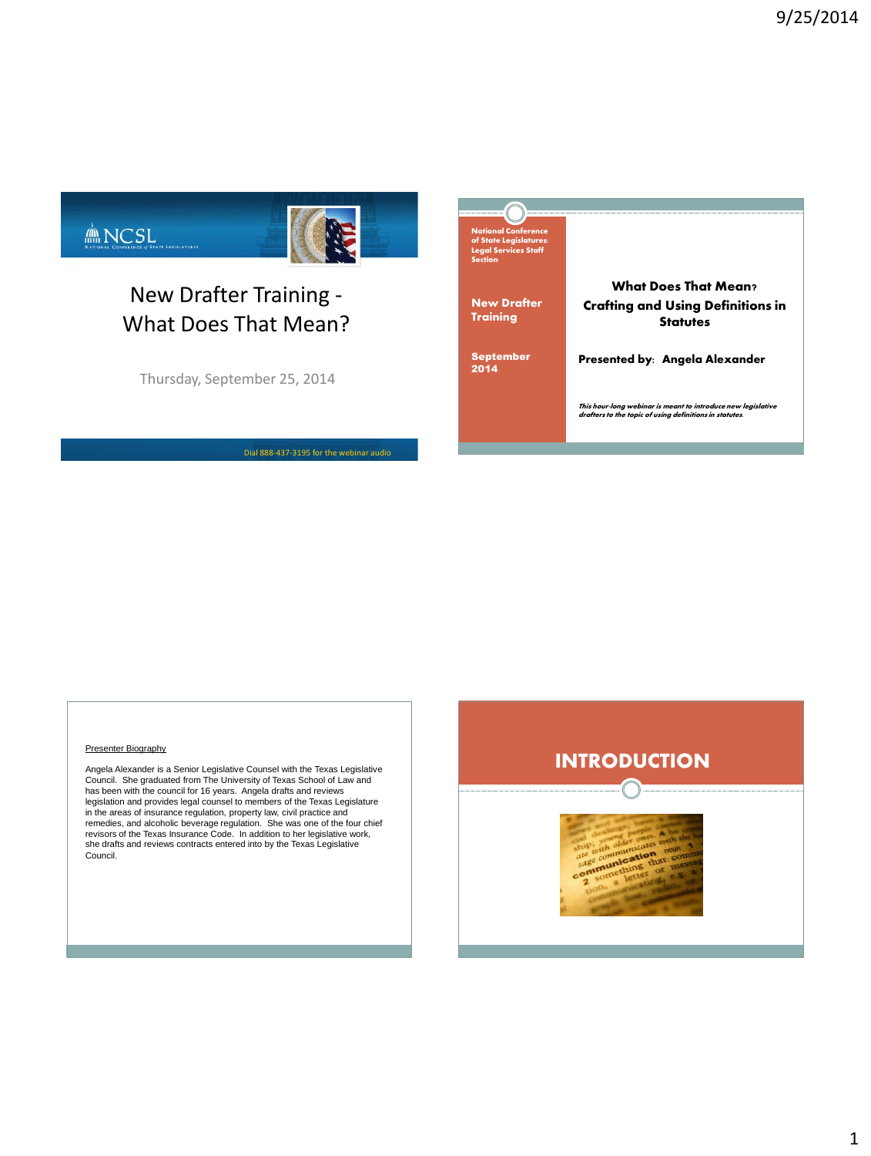

# New Drafter Training - What Does That Mean?

Thursday, September 25, 2014

Dial 888-437-3195 for the webinar audio



#### Presenter Biography

Angela Alexander is a Senior Legislative Counsel with the Texas Legislative Council. She graduated from The University of Texas School of Law and<br>has been with the council for 16 years. Angela drafts and reviews<br>legislation and provides legal counsel to members of the Texas Legislature in the areas of insurance regulation, property law, civil practice and<br>remedies, and alcoholic beverage regulation. She was one of the four chief<br>revisors of the Texas Insurance Code. In addition to her legislative work,<br>s Council.

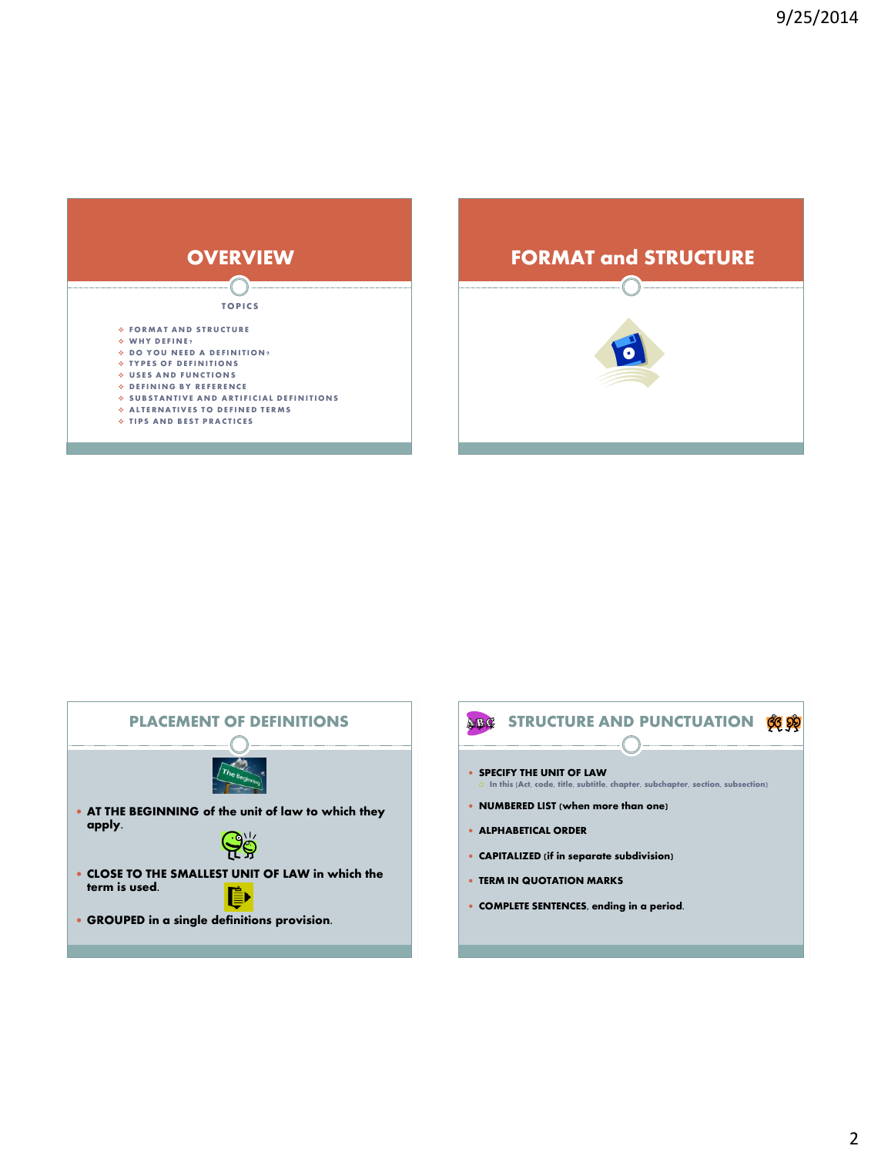





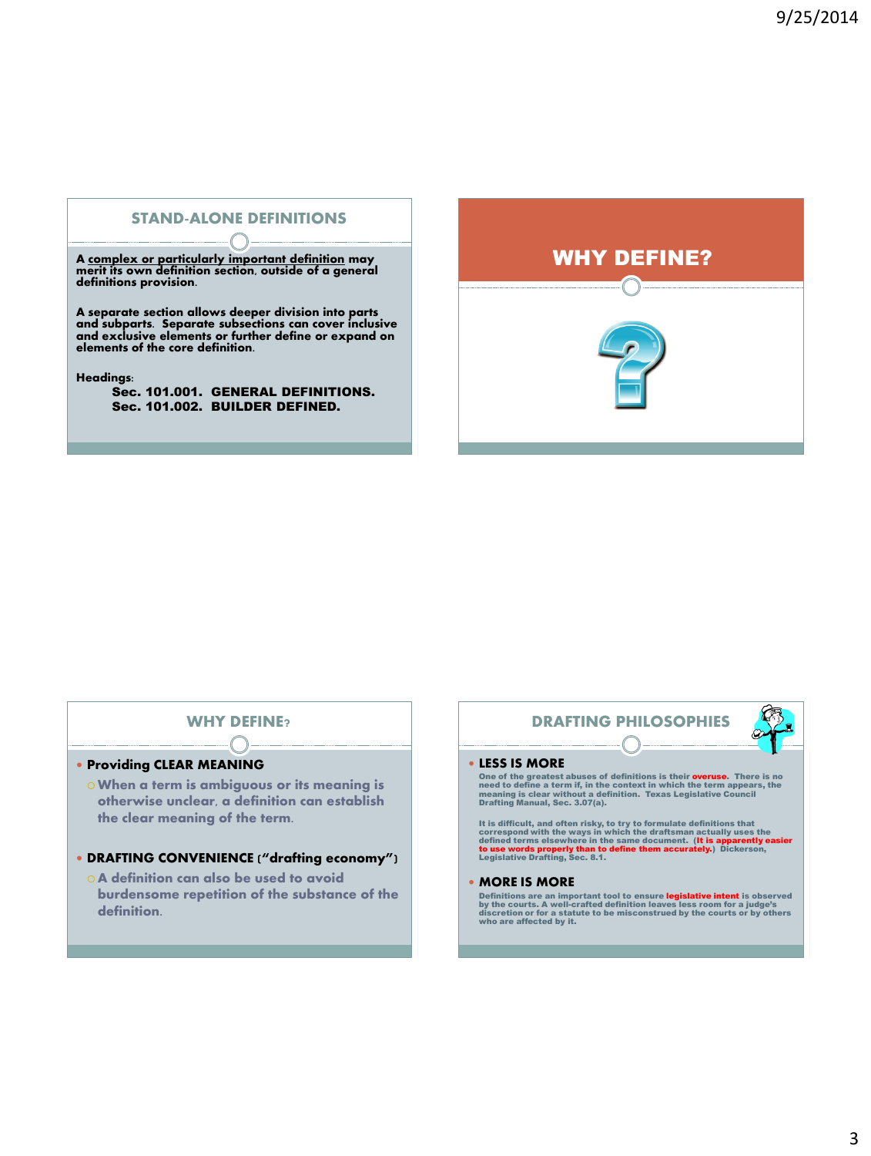# STAND-ALONE DEFINITIONS

A <u>complex or particularly important definition</u> may<br>merit its own definition section, outside of a general<br>definitions provision.

A separate section allows deeper division into parts and subparts. Separate subsections can cover inclusive and exclusive elements or further define or expand on elements of the core definition.

Headings:

Sec. 101.001. GENERAL DEFINITIONS. Sec. 101.002. BUILDER DEFINED.



# **WHY DEFINE**

### **• Providing CLEAR MEANING**

When a term is ambiguous or its meaning is otherwise unclear, a definition can establish the clear meaning of the term.

### DRAFTING CONVENIENCE ("drafting economy")

 A definition can also be used to avoid burdensome repetition of the substance of the definition.

# DRAFTING PHILOSOPHIES

#### LESS IS MORE

One of the greatest abuses of definitions is their **overuse**. There is no<br>need to define a term if, in the context in which the term appears, the<br>meaning is clear without a definition. Texas Legislative Council<br>Drafting Ma

It is difficult, and often risky, to try to formulate definitions that<br>correspond with the ways in which the draftsman actually uses the<br>defined terms elsewhere in the same document. (It is apparently easier<br>to use words p

#### MORE IS MORE

Definitions are an important tool to ensure legislative intent is observed<br>by the courts. A well-crafted definition leaves less room for a judge's<br>discretion or for a statute to be misconstrued by the courts or by others<br>w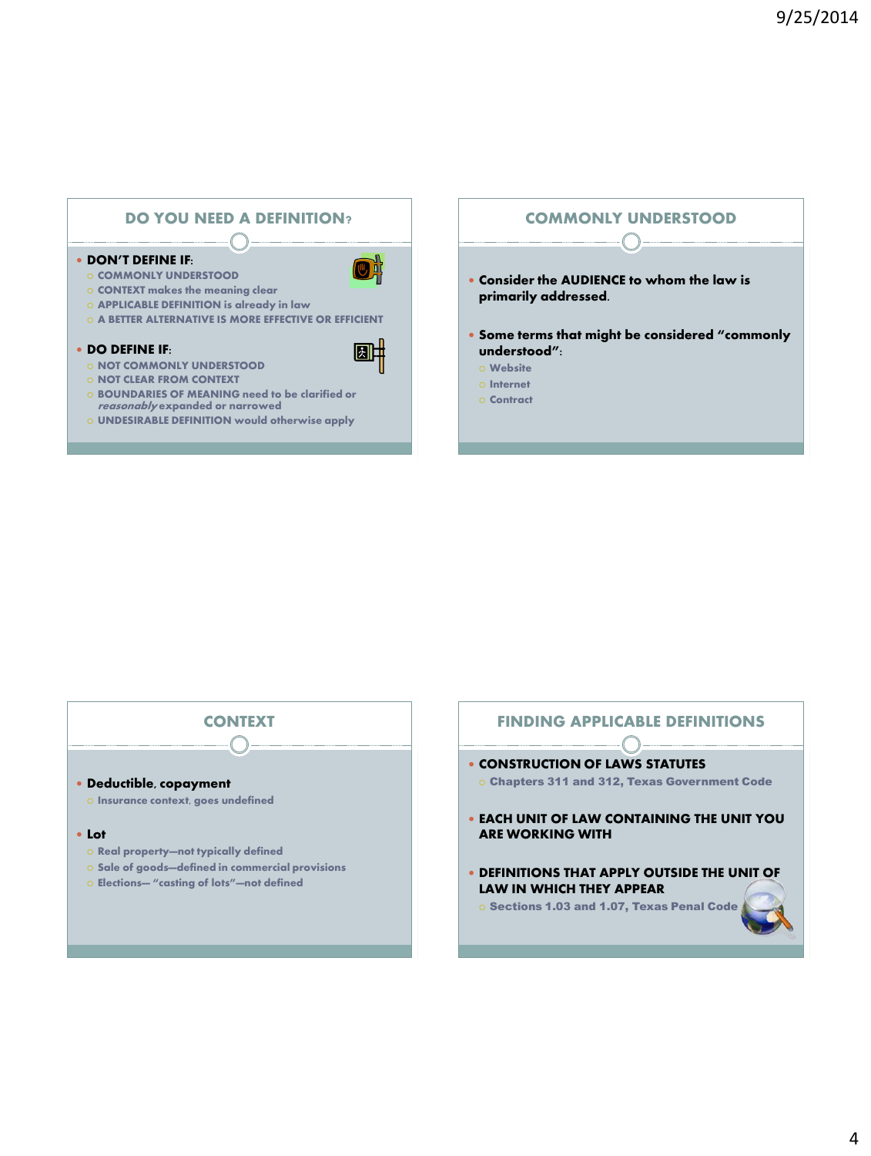

### **• DON'T DEFINE IF:**

- **O COMMONLY UNDERSTOOD**
- o CONTEXT makes the meaning clear
- APPLICABLE DEFINITION is already in law
- **O A BETTER ALTERNATIVE IS MORE EFFECTIVE OR EFFICIENT**

#### DO DEFINE IF:

- **O NOT COMMONLY UNDERSTOOD**
- o NOT CLEAR FROM CONTEXT
- **BOUNDARIES OF MEANING need to be clarified or** reasonably expanded or narrowed
- UNDESIRABLE DEFINITION would otherwise apply

### COMMONLY UNDERSTOOD

 $\bigcap$ 

- Consider the AUDIENCE to whom the law is primarily addressed.
- Some terms that might be considered "commonly understood":
	- Website
	- Internet
	- Contract



# **• CONSTRUCTION OF LAWS STATUTES**  Chapters 311 and 312, Texas Government Code EACH UNIT OF LAW CONTAINING THE UNIT YOU ARE WORKING WITH

FINDING APPLICABLE DEFINITIONS

 DEFINITIONS THAT APPLY OUTSIDE THE UNIT OF LAW IN WHICH THEY APPEAR

o Sections 1.03 and 1.07, Texas Penal Code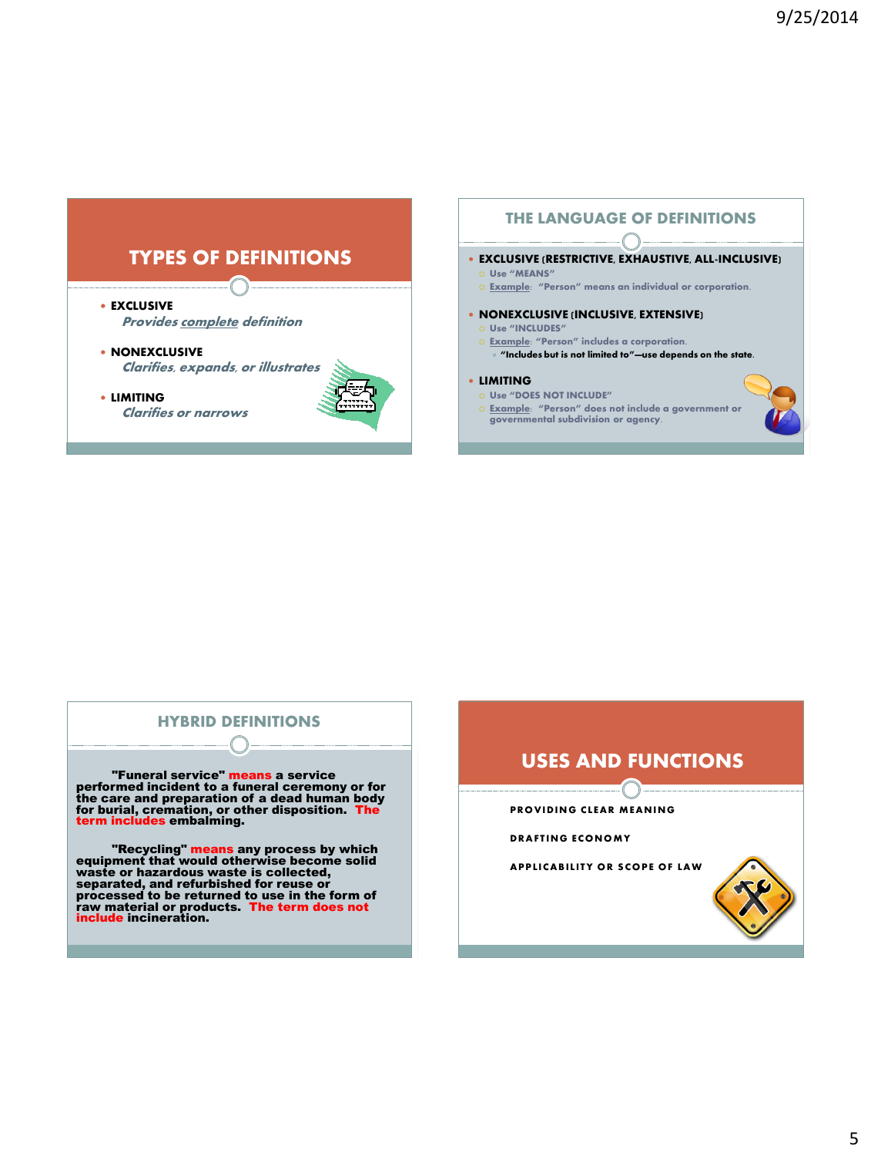# TYPES OF DEFINITIONS

**• EXCLUSIVE** 

**Provides complete definition** 

- **NONEXCLUSIVE** Clarifies, expands, or illustrates
- LIMITING Clarifies or narrows



# THE LANGUAGE OF DEFINITIONS

### EXCLUSIVE (RESTRICTIVE, EXHAUSTIVE, ALL-INCLUSIVE)

- Use "MEANS"
- Example: "Person" means an individual or corporation.
- NONEXCLUSIVE (INCLUSIVE, EXTENSIVE)
	- Use "INCLUDES" Example: "Person" includes a corporation.
	- "Includes but is not limited to"—use depends on the state.

### LIMITING

- Use "DOES NOT INCLUDE"
- o <u>Example</u>: "Person" does not include a government or governmental subdivision or agency.

# HYBRID DEFINITIONS

"Funeral service" means a service performed incident to a funeral ceremony or for the care and preparation of a dead human body for burial, cremation, or other disposition. The term includes embalming.

"Recycling" means any process by which equipment that would otherwise become solid waste or hazardous waste is collected,<br>separated, and refurbished for reuse or<br>processed to be returned to use in the form of<br>raw material or products. The term does not<br>include incineration.



**PROVIDING CLEAR MEANING** 

### **DR AFT ING EC O NO M Y**

**APPLICABILITY OR SCOPE OF LAW** 

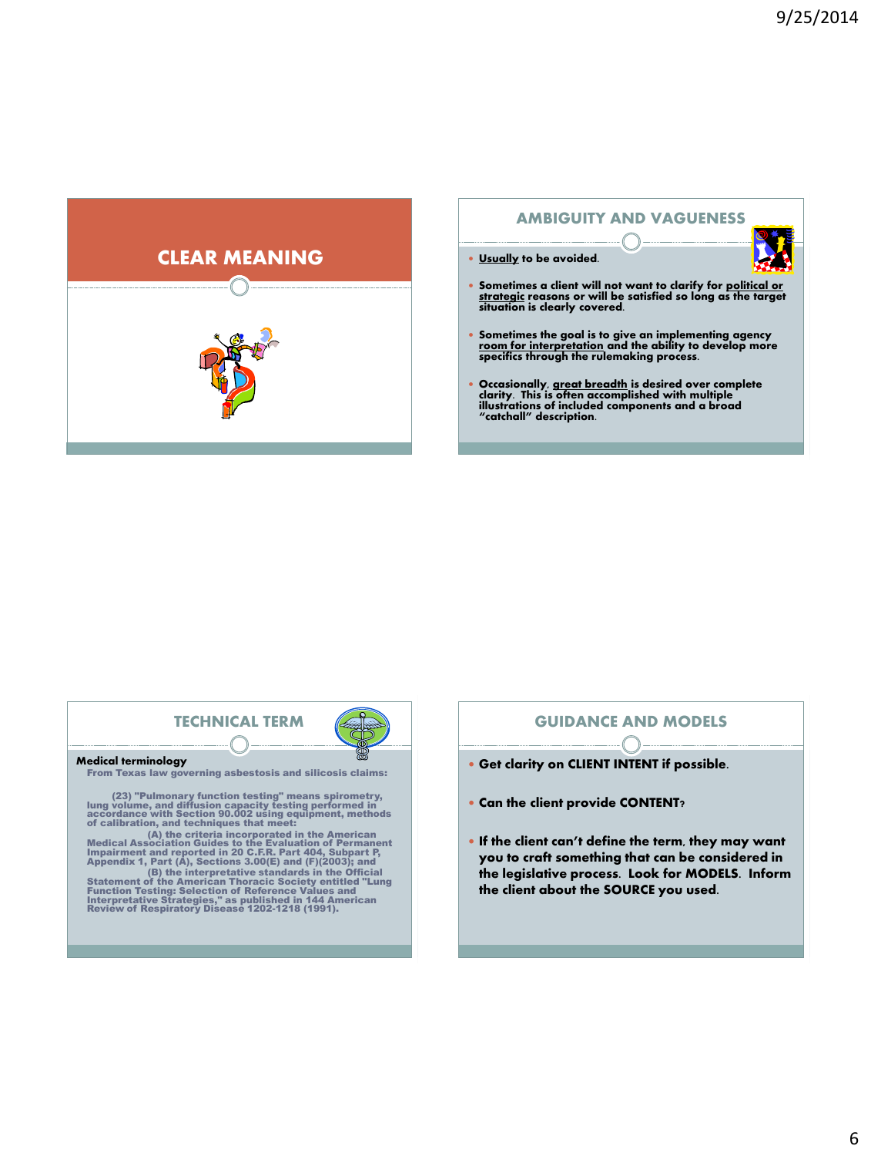

# AMBIGUITY AND VAGUENESS



Usually to be avoided.

- Sometimes a client will not want to clarify for <u>political or strategic</u> reasons or will be satisfied so long as the target situation is clearly covered.
- Sometimes the goal is to give an implementing agency room for interpretation and the ability to develop more specifics through the rulemaking process.
- Occasionally, <u>great breadth</u> is desired over complete<br>clarity. This is often accomplished with multiple<br>illustrations of included components and a broad<br>"catchall" description.

# TECHNICAL TERM

#### Medical terminology

From Texas law governing asbestosis and silicosis claims:

(23) "Pulmonary function testing" means spirometry, lung volume, and diffusion capacity testing performed in accordance with Section 90.002 using equipment, methods of calibration, and techniques that meet:

(A) the criteria incorporated in the American Medical Association Guides to the Evaluation of Permanent Impairment and reported in 20 C.F.R. Part 404, Subpart P, Appendix 1, Part (A), Sections 3.00(E) and (F)(2003); and

(B) the interpretative standards in the Official<br>Statement of the American Thoracic Society entitled "Lung<br>Function Testing: Selection of Reference Values and<br>Interpretative Strategies," as published in 144 American<br>Review

### GUIDANCE AND MODELS

- Get clarity on CLIENT INTENT if possible.
- Can the client provide CONTENT?
- If the client can't define the term, they may want you to craft something that can be considered in the legislative process. Look for MODELS. Inform the client about the SOURCE you used.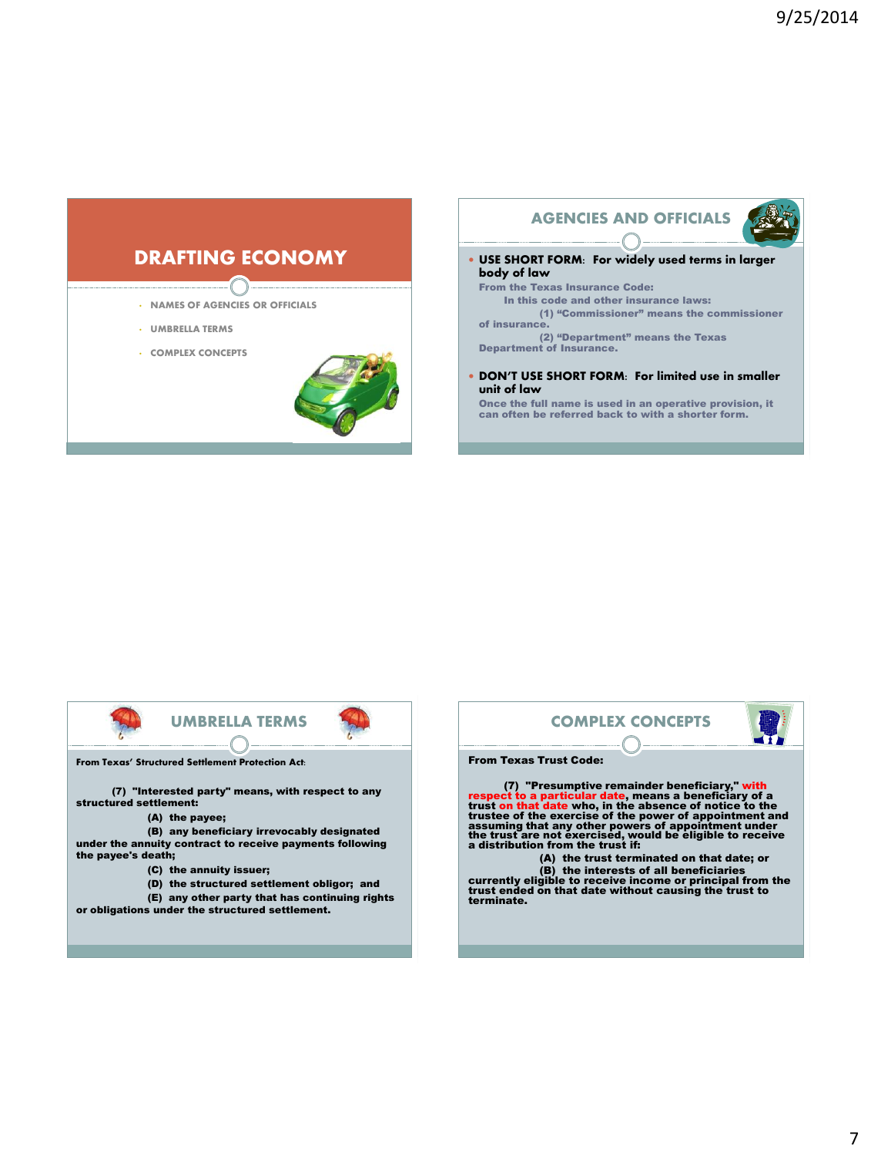# DRAFTING ECONOMY

- NAMES OF AGENCIES OR OFFICIALS
- UMBRELLA TERMS
- COMPLEX CONCEPTS



### AGENCIES AND OFFICIALS



- USE SHORT FORM: For widely used terms in larger body of law
	- From the Texas Insurance Code: In this code and other insurance laws: (1) "Commissioner" means the commissioner of insurance.

(2) "Department" means the Texas Department of Insurance.

 DON'T USE SHORT FORM: For limited use in smaller unit of law

Once the full name is used in an operative provision, it can often be referred back to with a shorter form.



From Texas' Structured Settlement Protection Act:

(7) "Interested party" means, with respect to any structured settlement:

(A) the payee;

(B) any beneficiary irrevocably designated under the annuity contract to receive payments following the payee's death;

- (C) the annuity issuer;
- (D) the structured settlement obligor; and

(E) any other party that has continuing rights or obligations under the structured settlement.

# COMPLEX CONCEPTS



#### From Texas Trust Code:

(7) "Presumptive remainder beneficiary," with<br>respect to a particular date, means a beneficiary of a<br>trust on that date who, in the absence of notice to the<br>trustee of the exercise of the power of appointment and<br>assuming

(A) the trust terminated on that date; or (B) the interests of all beneficiaries currently eligible to receive income or principal from the trust ended on that date without causing the trust to terminate.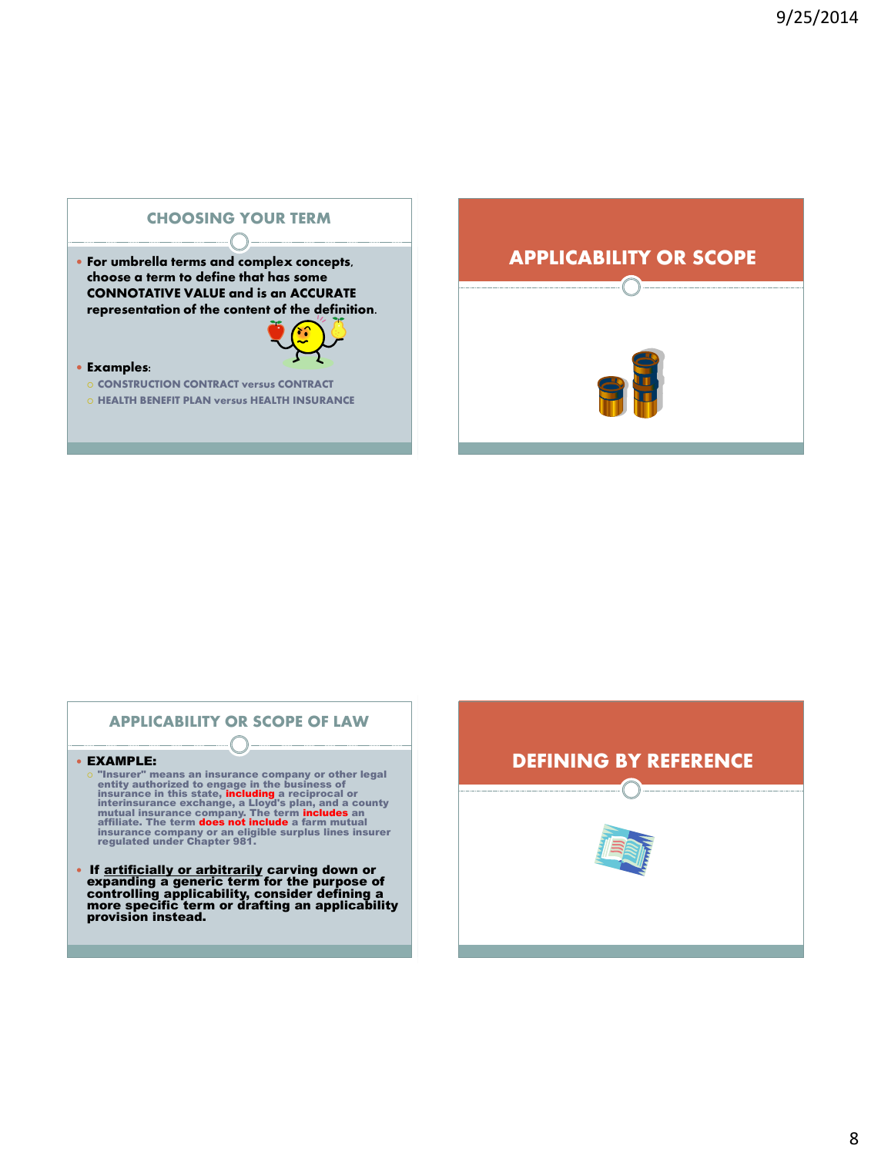

# **O HEALTH BENEFIT PLAN versus HEALTH INSURANCE**



# APPLICABILITY OR SCOPE OF LAW

#### EXAMPLE:

- $\circ$  "Insurer" means an insurance company or other legal<br>entity authorized to engage in the business of<br>insurance in this state, including a reciprocal or<br>interinsurance exchange, a Lloyd's plan, and a county<br>mutual insur
- If artificially or arbitrarily carving down or expanding a generic term for the purpose of controlling applicability, consider defining a more specific term or drafting an applicability provision instead.

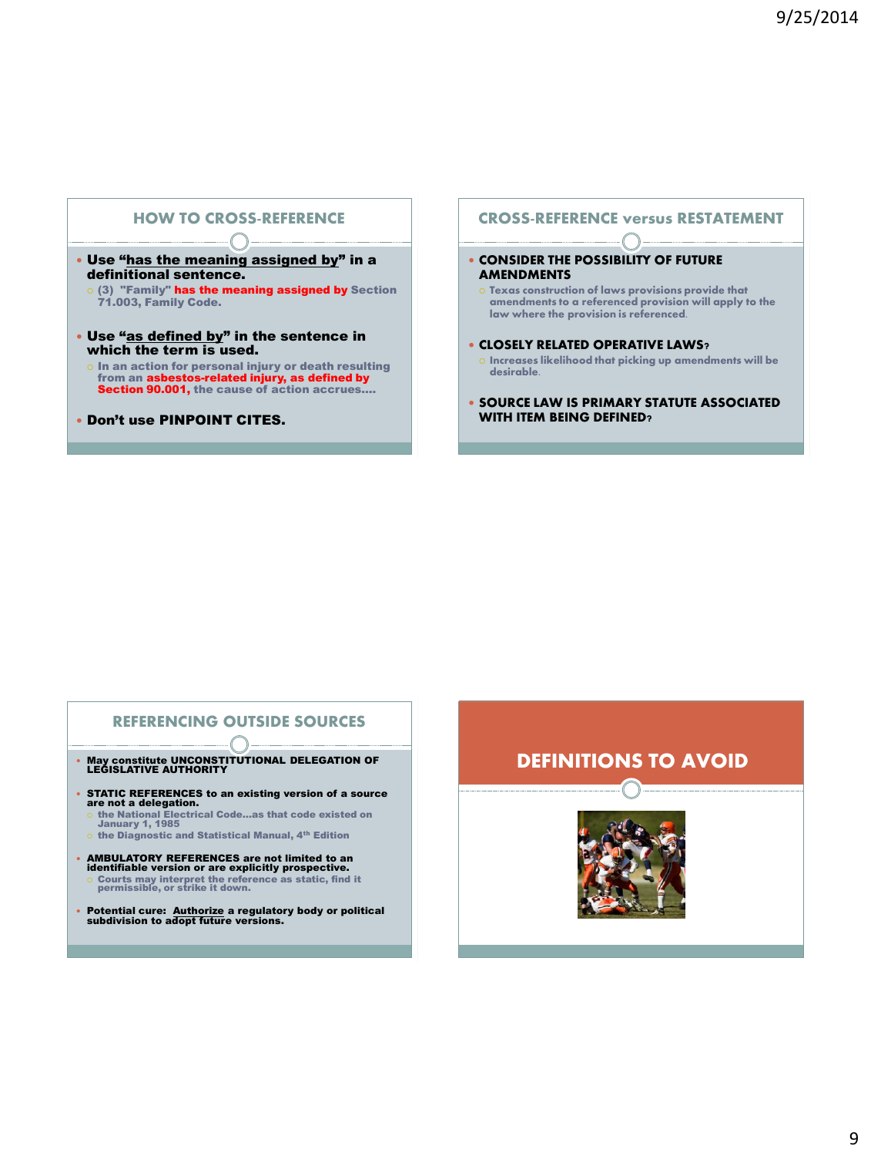# HOW TO CROSS-REFERENCE

- Use "has the meaning assigned by" in a definitional sentence.
	- (3) "Family" has the meaning assigned by Section 71.003, Family Code.
- Use "as defined by" in the sentence in which the term is used.
- $\circ$  In an action for personal injury or death resulting from an **asbestos-related injury, as defined by**<br><mark>Section 90.001,</mark> the cause of action accrues....
- Don't use PINPOINT CITES.

### CROSS-REFERENCE versus RESTATEMENT

- **CONSIDER THE POSSIBILITY OF FUTURE AMENDMENTS** 
	- $\circ$  Texas construction of laws provisions provide that amendments to a referenced provision will apply to the law where the provision is referenced.
- **CLOSELY RELATED OPERATIVE LAWS?**
- $\circ$  Increases likelihood that picking up amendments will be desirable.
- **SOURCE LAW IS PRIMARY STATUTE ASSOCIATED** WITH ITEM BEING DEFINED?

# REFERENCING OUTSIDE SOURCES

- May constitute UNCONSTITUTIONAL DELEGATION OF LEGISLATIVE AUTHORITY
- STATIC REFERENCES to an existing version of a source are not a delegation.
	- the National Electrical Code…as that code existed on January 1, 1985
	- $\circ$  the Diagnostic and Statistical Manual, 4<sup>th</sup> Edition
- **AMBULATORY REFERENCES are not limited to an identifiable version or are explicitly prospective.**<br>○ Courts may interpret the reference as static, find it permissible, or strike it down.
- Potential cure: Authorize a regulatory body or political subdivision to adopt future versions.

# DEFINITIONS TO AVOID

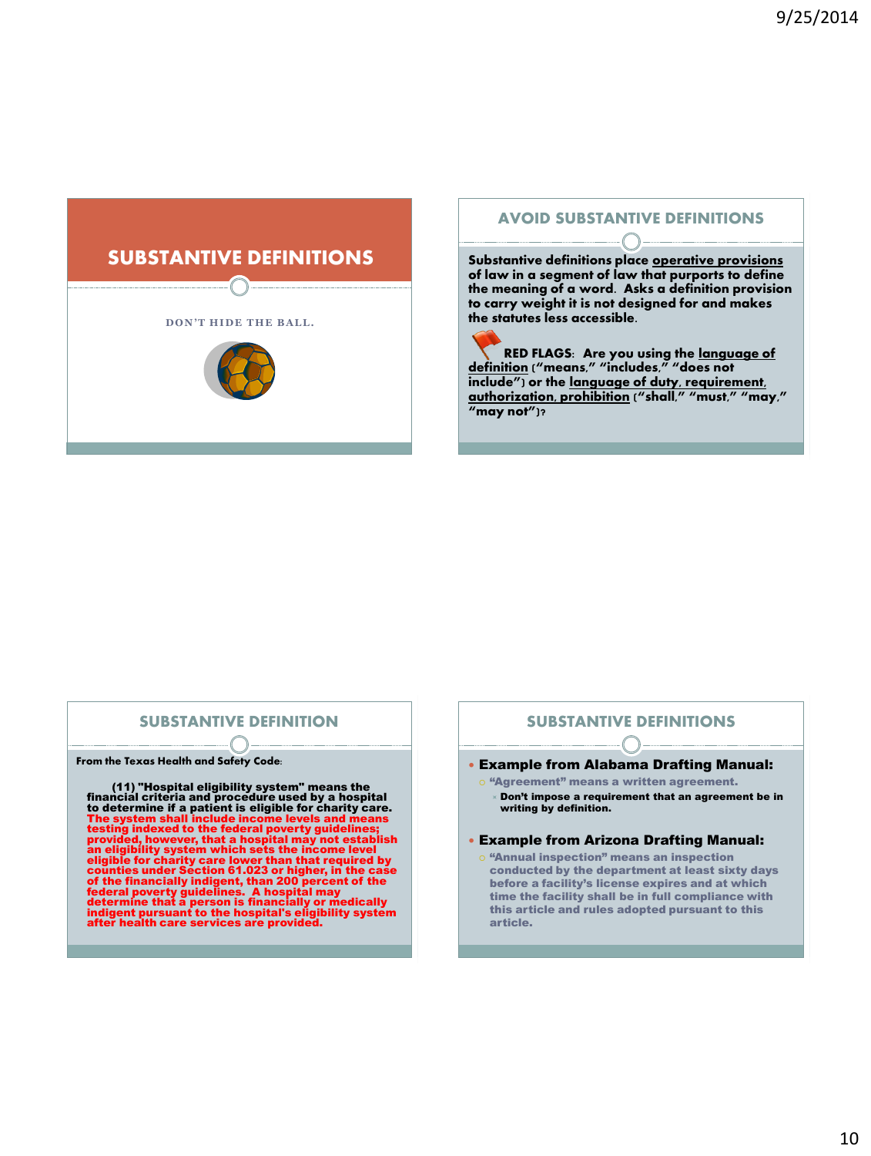

# AVOID SUBSTANTIVE DEFINITIONS

Substantive definitions place operative provisions of law in a segment of law that purports to define the meaning of a word. Asks a definition provision to carry weight it is not designed for and makes the statutes less accessible.

RED FLAGS: Are you using the language of definition ("means," "includes," "does not include") or the language of duty, requirement, authorization, prohibition ("shall," "must," "may," "may not")?

## SUBSTANTIVE DEFINITION

From the Texas Health and Safety Code:

(11) "Hospital eligibility system" means the financial criteria and procedure used by a hospital to determine if a patient is eligible for charity care. The system shall include income levels and means<br>testing indexed to the federal poverty guidelines;<br>provided, however, that a hospital may not establish<br>an eligibility system which sets the income level<br>eligible for charit

### SUBSTANTIVE DEFINITIONS

- Example from Alabama Drafting Manual:
	- o "Agreement" means a written agreement. Don't impose a requirement that an agreement be in writing by definition.

#### Example from Arizona Drafting Manual:

o "Annual inspection" means an inspection conducted by the department at least sixty days before a facility's license expires and at which time the facility shall be in full compliance with this article and rules adopted pursuant to this article.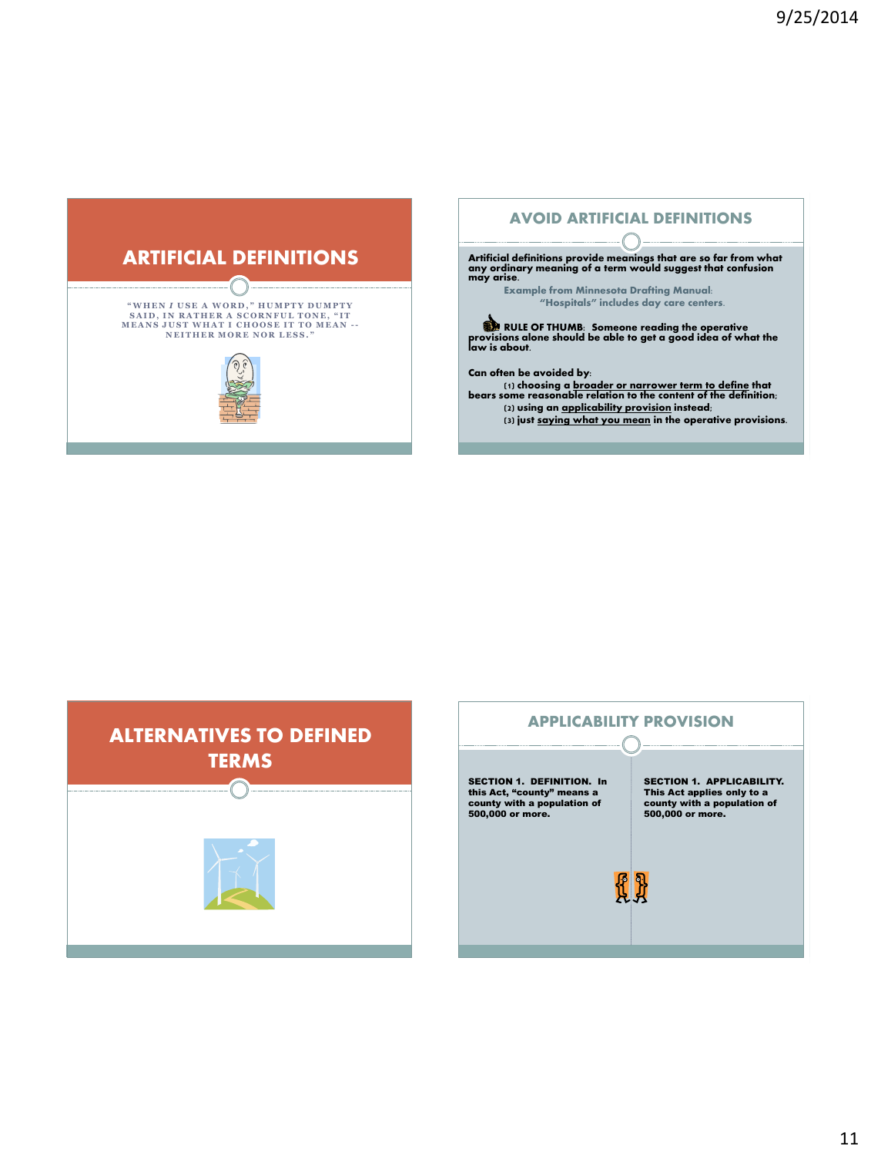

# AVOID ARTIFICIAL DEFINITIONS

Artificial definitions provide meanings that are so far from what any ordinary meaning of a term would suggest that confusion may arise.

Example from Minnesota Drafting Manual: "Hospitals" includes day care centers.

RULE OF THUMB: Someone reading the operative provisions alone should be able to get a good idea of what the law is about.

Can often be avoided by:

(1) choosing a broader or narrower term to define that bears some reasonable relation to the content of the definition; (2) using an applicability provision instead;

(3) just saying what you mean in the operative provisions.



# APPLICABILITY PROVISION

SECTION 1. DEFINITION. In this Act, "county" means a county with a population of 500,000 or more.

SECTION 1. APPLICABILITY. This Act applies only to a county with a population of 500,000 or more.

**{{ }}**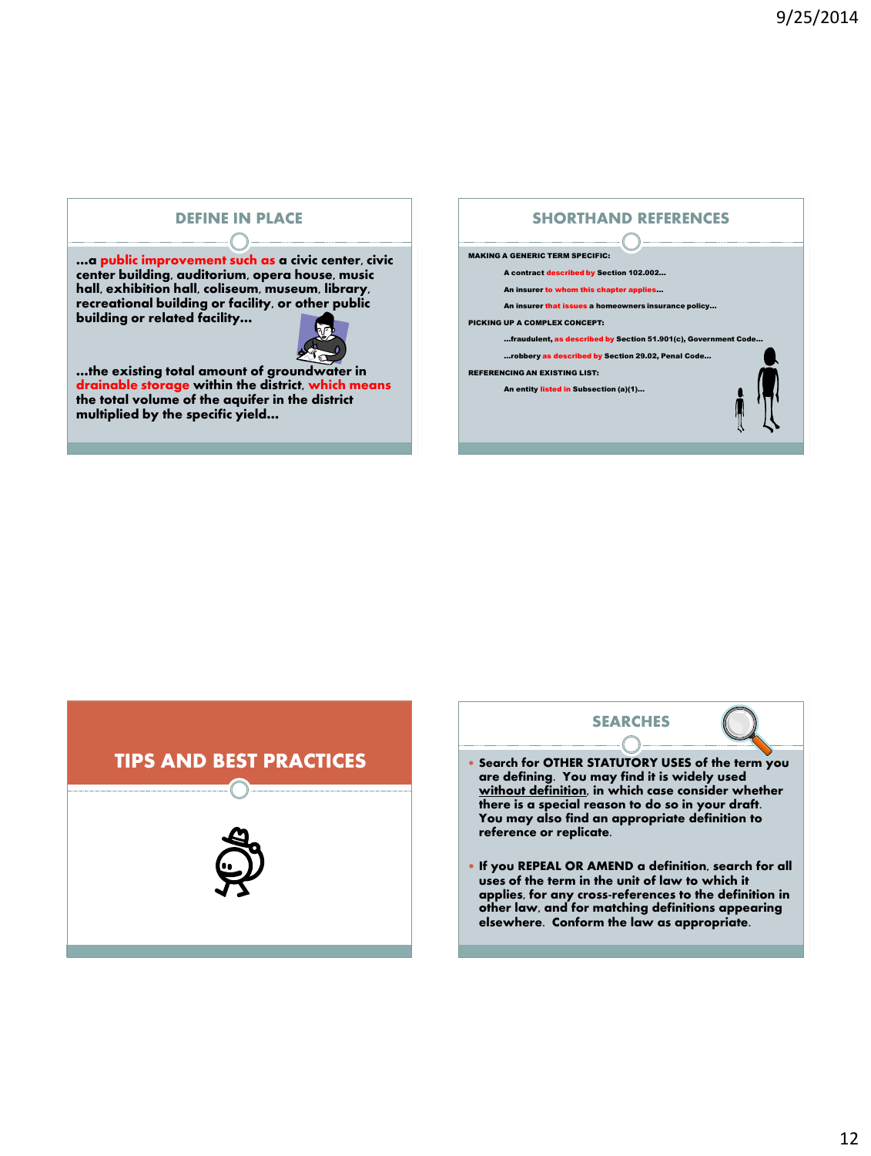# DEFINE IN PLACE

### …a public improvement such as a civic center, civic center building, auditorium, opera house, music hall, exhibition hall, coliseum, museum, library, recreational building or facility, or other public building or related facility…



…the existing total amount of groundwater in drainable storage within the district, which means the total volume of the aquifer in the district multiplied by the specific yield…

# SHORTHAND REFERENCES MAKING A GENERIC TERM SPECIFIC: A contract described by Section 102.002… An insurer to whom this chapter applies… An insurer that issues a homeowners insurance policy… PICKING UP A COMPLEX CONCEPT: …fraudulent, as described by Section 51.901(c), Government Code… …robbery as described by Section 29.02, Penal Code… REFERENCING AN EXISTING LIST: An entity listed in Subsection (a)(1)…





- Search for OTHER STATUTORY USES of the term you are defining. You may find it is widely used without definition, in which case consider whether there is a special reason to do so in your draft. You may also find an appropriate definition to reference or replicate.
- If you REPEAL OR AMEND a definition, search for all uses of the term in the unit of law to which it applies, for any cross-references to the definition in other law, and for matching definitions appearing elsewhere. Conform the law as appropriate.